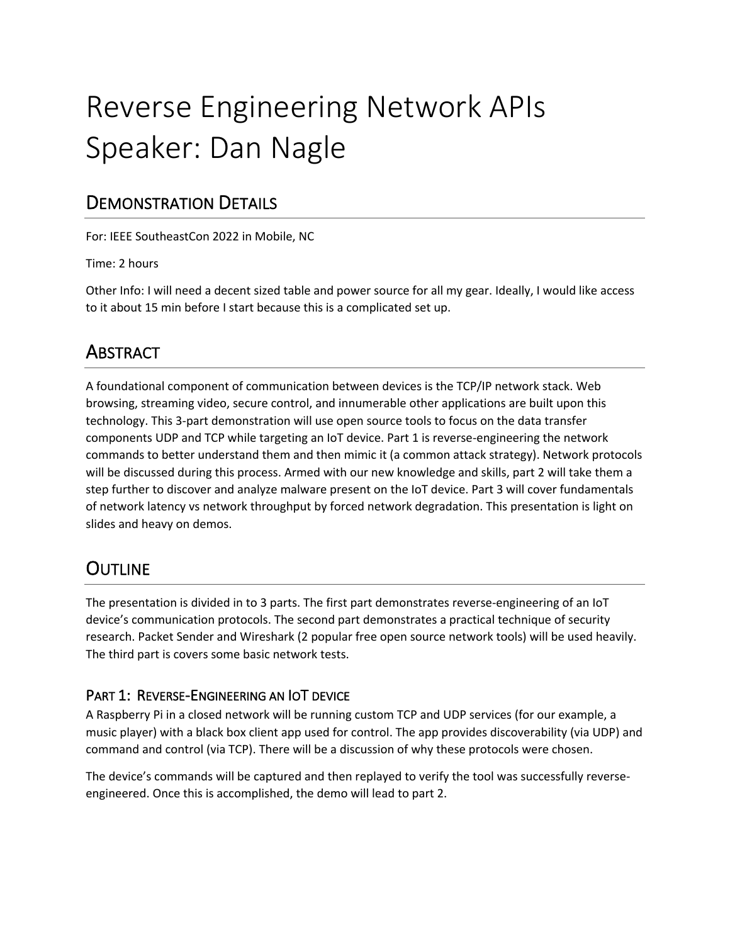# Reverse Engineering Network APIs Speaker: Dan Nagle

## DEMONSTRATION DETAILS

For: IEEE SoutheastCon 2022 in Mobile, NC

Time: 2 hours

Other Info: I will need a decent sized table and power source for all my gear. Ideally, I would like access to it about 15 min before I start because this is a complicated set up.

# ABSTRACT

A foundational component of communication between devices is the TCP/IP network stack. Web browsing, streaming video, secure control, and innumerable other applications are built upon this technology. This 3-part demonstration will use open source tools to focus on the data transfer components UDP and TCP while targeting an IoT device. Part 1 is reverse-engineering the network commands to better understand them and then mimic it (a common attack strategy). Network protocols will be discussed during this process. Armed with our new knowledge and skills, part 2 will take them a step further to discover and analyze malware present on the IoT device. Part 3 will cover fundamentals of network latency vs network throughput by forced network degradation. This presentation is light on slides and heavy on demos.

# **OUTLINE**

The presentation is divided in to 3 parts. The first part demonstrates reverse-engineering of an IoT device's communication protocols. The second part demonstrates a practical technique of security research. Packet Sender and Wireshark (2 popular free open source network tools) will be used heavily. The third part is covers some basic network tests.

### PART 1: REVERSE-ENGINEERING AN IOT DEVICE

A Raspberry Pi in a closed network will be running custom TCP and UDP services (for our example, a music player) with a black box client app used for control. The app provides discoverability (via UDP) and command and control (via TCP). There will be a discussion of why these protocols were chosen.

The device's commands will be captured and then replayed to verify the tool was successfully reverseengineered. Once this is accomplished, the demo will lead to part 2.